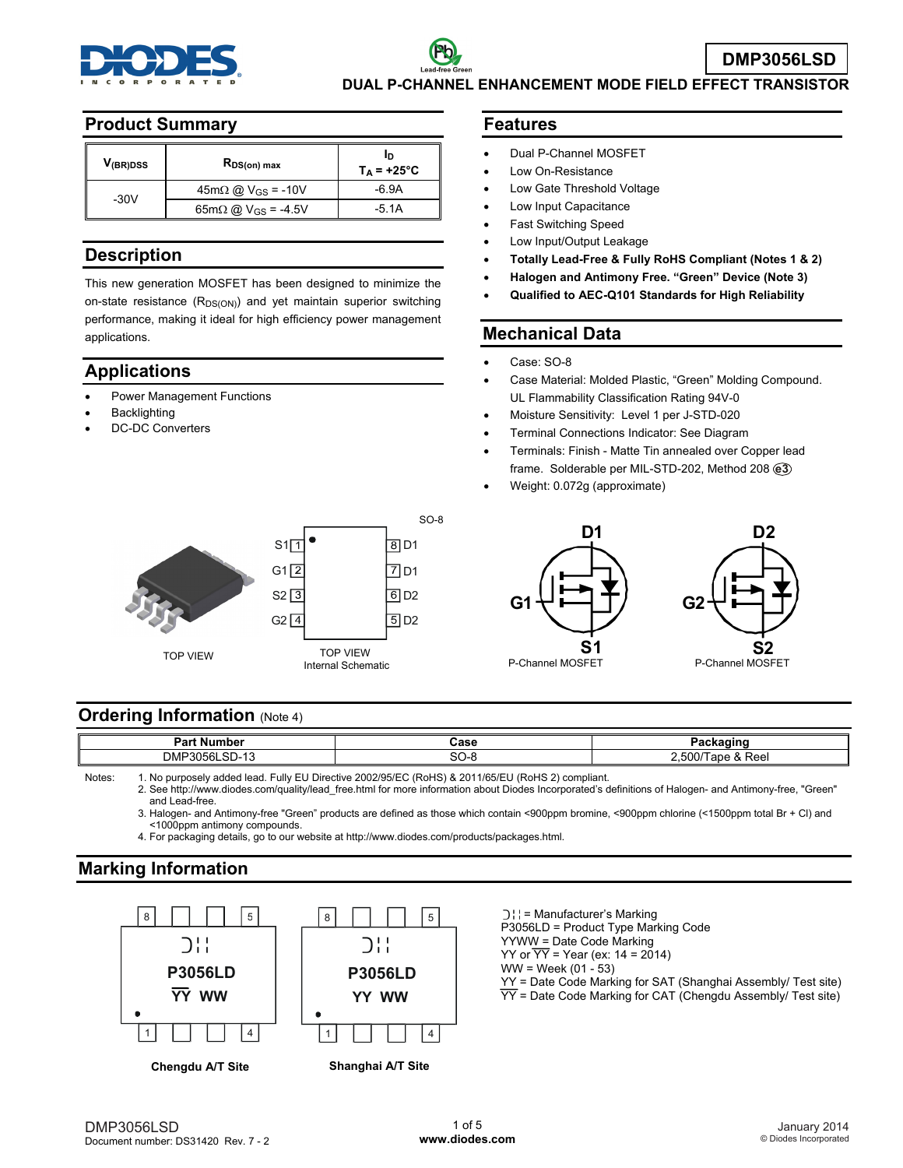

# **DMP3056LSD DUAL P-CHANNEL ENHANCEMENT MODE FIELD EFFECT TRANSISTOR**

#### **Product Summary**

| V <sub>(BR)DSS</sub> | R <sub>DS(on)</sub> max                       | חו<br>$T_A = +25^{\circ}C$ |
|----------------------|-----------------------------------------------|----------------------------|
| $-30V$               | $45m\Omega$ @ V <sub>GS</sub> = -10V          | -6.9A                      |
|                      | $65 \text{m}\Omega$ @ V <sub>GS</sub> = -4.5V | -5.1A                      |

### **Description**

This new generation MOSFET has been designed to minimize the on-state resistance  $(R_{DS(ON)})$  and yet maintain superior switching performance, making it ideal for high efficiency power management applications.

## **Applications**

- Power Management Functions
- **Backlighting**
- DC-DC Converters

#### **101 VIEW 120 Internal Schematic P-Channel MOSFET P-Channel MOSFET P-Channel MOSFET** SO-8 TOP VIEW TOP VIEW S1  $S2 \overline{3}$   $\overline{6}$   $D2$  $8$ D1  $G2\sqrt{4}$  $G1 \overline{2}$   $\overline{7}$  D1  $\overline{5}$  D<sub>2</sub>

#### **Features**

- Dual P-Channel MOSFET
- Low On-Resistance
- Low Gate Threshold Voltage
- Low Input Capacitance
- Fast Switching Speed
- Low Input/Output Leakage
- **Totally Lead-Free & Fully RoHS Compliant (Notes 1 & 2)**
- **Halogen and Antimony Free. "Green" Device (Note 3)**
- **Qualified to AEC-Q101 Standards for High Reliability**

### **Mechanical Data**

- Case: SO-8
- Case Material: Molded Plastic, "Green" Molding Compound. UL Flammability Classification Rating 94V-0
- Moisture Sensitivity: Level 1 per J-STD-020
- Terminal Connections Indicator: See Diagram
- Terminals: Finish Matte Tin annealed over Copper lead frame. Solderable per MIL-STD-202, Method 208 **e3**
- Weight: 0.072g (approximate)



## **Ordering Information (Note 4)**

| в.<br>---<br>Nι<br>                                                              | $\mathbf{a}$<br>Jast | ъ.<br>.                               |
|----------------------------------------------------------------------------------|----------------------|---------------------------------------|
| $\overline{ }$<br>$\sim$ $\sim$<br><b>DMF</b><br>$\sim$ $\sim$ $\sim$<br>155<br> | $\sim$               | Reel<br>$\overline{\phantom{a}}$<br>. |

Notes: 1. No purposely added lead. Fully EU Directive 2002/95/EC (RoHS) & 2011/65/EU (RoHS 2) compliant.

 2. See [http://www.diodes.com/quality/lead\\_free.html fo](http://www.diodes.com/quality/lead_free.html)r more information about Diodes Incorporated's definitions of Halogen- and Antimony-free, "Green" and Lead-free.

 3. Halogen- and Antimony-free "Green" products are defined as those which contain <900ppm bromine, <900ppm chlorine (<1500ppm total Br + Cl) and <1000ppm antimony compounds.

4. For packaging details, go to our website at [http://www.diodes.com/products/packages.html.](http://www.diodes.com/products/packages.html) 

# **Marking Information**



- **Chengdu A/T Site Shanghai A/T Site**
- = Manufacturer's Marking P3056LD = Product Type Marking Code YYWW = Date Code Marking YY or  $\overline{YY}$  = Year (ex: 14 = 2014)  $WW = Week (01 - 53)$ YY = Date Code Marking for SAT (Shanghai Assembly/ Test site)  $\overline{YY}$  = Date Code Marking for CAT (Chengdu Assembly/ Test site)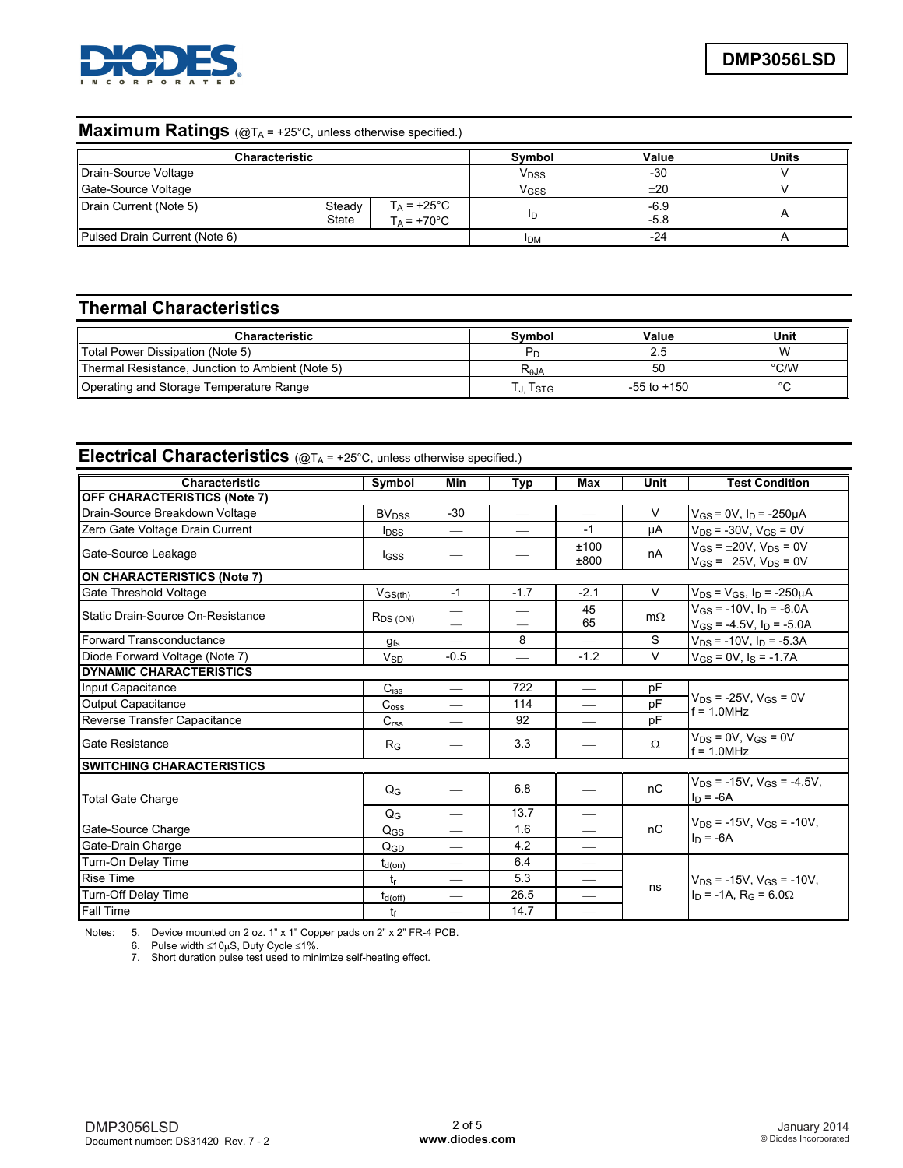

### **Maximum Ratings** (@TA = +25°C, unless otherwise specified.)

| <b>Characteristic</b>         |                 |                                              | Symbol           | Value            | <b>Units</b> |
|-------------------------------|-----------------|----------------------------------------------|------------------|------------------|--------------|
| Drain-Source Voltage          |                 |                                              | V <sub>DSS</sub> | $-30$            |              |
| Gate-Source Voltage           |                 |                                              | V <sub>GSS</sub> | ±20              |              |
| Drain Current (Note 5)        | Steady<br>State | $T_A = +25^{\circ}C$<br>$T_A = +70^{\circ}C$ | חו               | $-6.9$<br>$-5.8$ |              |
| Pulsed Drain Current (Note 6) |                 |                                              | <b>IDM</b>       | -24              |              |

# **Thermal Characteristics**

| <b>Characteristic</b>                            | Svmbol         | Value           | Unit          |
|--------------------------------------------------|----------------|-----------------|---------------|
| Total Power Dissipation (Note 5)                 | P <sub>D</sub> | 2.5             | W             |
| Thermal Resistance, Junction to Ambient (Note 5) | $R_{\theta$ JA | 50              | $\degree$ C/W |
| Operating and Storage Temperature Range          | . Istg         | $-55$ to $+150$ | $\sim$        |

# Electrical Characteristics (@TA = +25°C, unless otherwise specified.)

| <b>Characteristic</b>              | Symbol                  | <b>Min</b>                      | Typ    | Max                             | Unit      | <b>Test Condition</b>                                                           |
|------------------------------------|-------------------------|---------------------------------|--------|---------------------------------|-----------|---------------------------------------------------------------------------------|
| OFF CHARACTERISTICS (Note 7)       |                         |                                 |        |                                 |           |                                                                                 |
| Drain-Source Breakdown Voltage     | <b>BV<sub>DSS</sub></b> | $-30$                           |        |                                 | V         | $V_{GS}$ = 0V, $I_D$ = -250µA                                                   |
| Zero Gate Voltage Drain Current    | <b>I</b> <sub>DSS</sub> | $\hspace{0.1mm}-\hspace{0.1mm}$ |        | $-1$                            | μA        | $V_{DS}$ = -30V, $V_{GS}$ = 0V                                                  |
| Gate-Source Leakage                | <b>I</b> GSS            |                                 |        | ±100<br>±800                    | nA        | $V_{GS} = \pm 20V$ , $V_{DS} = 0V$<br>$V_{GS} = \pm 25V$ , $V_{DS} = 0V$        |
| <b>ON CHARACTERISTICS (Note 7)</b> |                         |                                 |        |                                 |           |                                                                                 |
| Gate Threshold Voltage             | $V$ <sub>GS(th)</sub>   | $-1$                            | $-1.7$ | $-2.1$                          | V         | $V_{DS}$ = $V_{GS}$ , $I_D$ = -250 $\mu$ A                                      |
| Static Drain-Source On-Resistance  | $R_{DS(ON)}$            |                                 |        | 45<br>65                        | $m\Omega$ | $V_{GS}$ = -10V. In = -6.0A<br>$V_{GS}$ = -4.5V, $I_D$ = -5.0A                  |
| l Forward Transconductance         | <b>gfs</b>              | $\overline{\phantom{0}}$        | 8      |                                 | S         | $V_{DS}$ = -10V, $I_D$ = -5.3A                                                  |
| Diode Forward Voltage (Note 7)     | $V_{SD}$                | $-0.5$                          |        | $-1.2$                          | $\vee$    | $V_{GS} = 0V$ , $I_S = -1.7A$                                                   |
| DYNAMIC CHARACTERISTICS            |                         |                                 |        |                                 |           |                                                                                 |
| Input Capacitance                  | $C_{iss}$               | $\overline{\phantom{m}}$        | 722    |                                 | pF        |                                                                                 |
| Output Capacitance                 | C <sub>oss</sub>        |                                 | 114    | $\overline{\phantom{0}}$        | pF        | $V_{DS}$ = -25V, $V_{GS}$ = 0V<br>$f = 1.0$ MHz                                 |
| Reverse Transfer Capacitance       | C <sub>rss</sub>        |                                 | 92     |                                 | pF        |                                                                                 |
| Gate Resistance                    | $R_G$                   |                                 | 3.3    |                                 | Ω         | $V_{DS}$ = 0V, $V_{GS}$ = 0V<br>$f = 1.0$ MHz                                   |
| SWITCHING CHARACTERISTICS          |                         |                                 |        |                                 |           |                                                                                 |
| <b>Total Gate Charge</b>           | Q <sub>G</sub>          |                                 | 6.8    |                                 | nC        | $V_{DS}$ = -15V, $V_{GS}$ = -4.5V,<br>$I_D = -6A$                               |
|                                    | $Q_G$                   |                                 | 13.7   |                                 |           |                                                                                 |
| Gate-Source Charge                 | $Q_{GS}$                |                                 | 1.6    |                                 | nC        | $V_{DS}$ = -15V, $V_{GS}$ = -10V,<br>$In = -6A$                                 |
| Gate-Drain Charge                  | Q <sub>GD</sub>         |                                 | 4.2    |                                 |           |                                                                                 |
| Turn-On Delay Time                 | $t_{d(on)}$             |                                 | 6.4    | $\overbrace{\qquad \qquad }^{}$ |           | $V_{DS}$ = -15V. $V_{GS}$ = -10V.<br>$\ln$ = -1A, R <sub>G</sub> = 6.0 $\Omega$ |
| <b>Rise Time</b>                   | $t_{r}$                 | $\overline{\phantom{0}}$        | 5.3    |                                 |           |                                                                                 |
| Turn-Off Delay Time                | $t_{d(\text{off})}$     |                                 | 26.5   |                                 | ns        |                                                                                 |
| <b>Fall Time</b>                   | tғ                      |                                 | 14.7   |                                 |           |                                                                                 |

Notes: 5. Device mounted on 2 oz. 1" x 1" Copper pads on 2" x 2" FR-4 PCB.

6. Pulse width ≤10μS, Duty Cycle ≤1%.

7. Short duration pulse test used to minimize self-heating effect.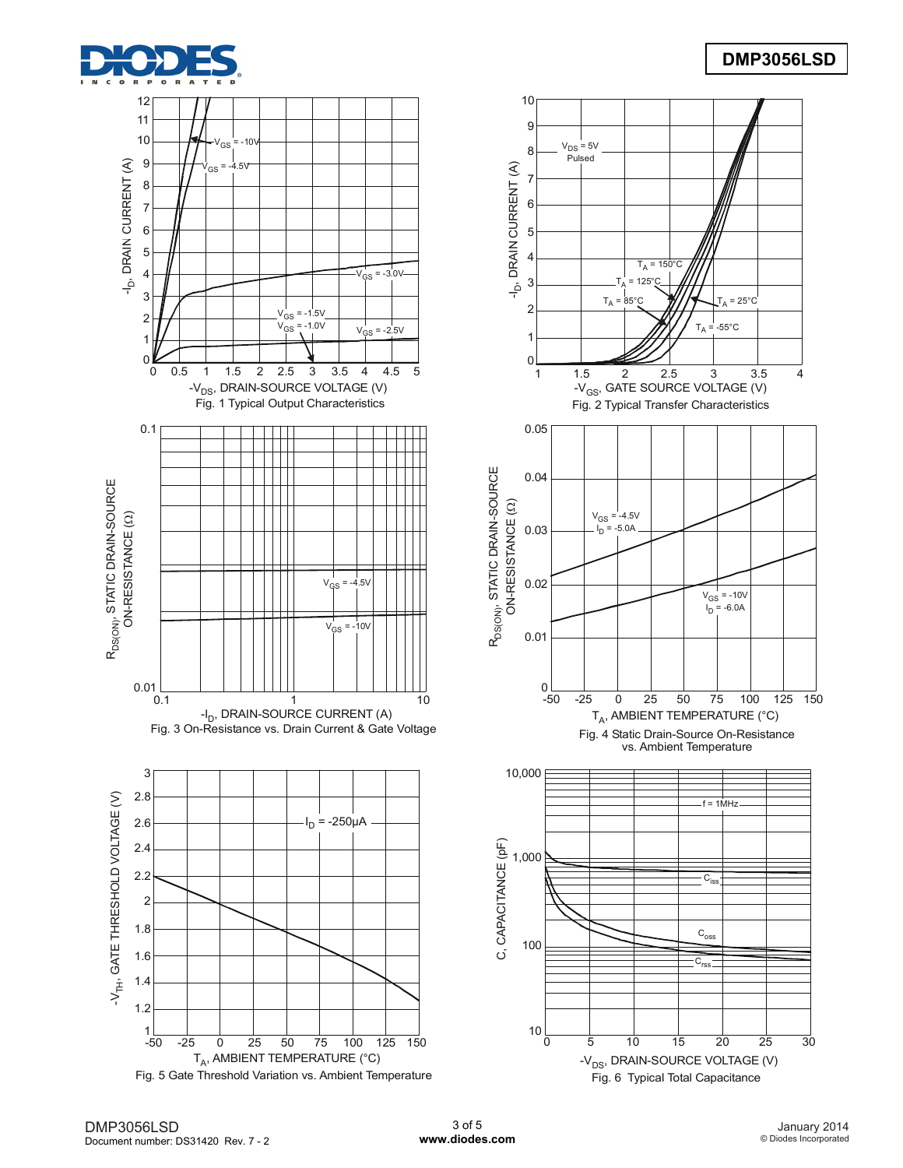









Fig. 6 Typical Total Capacitance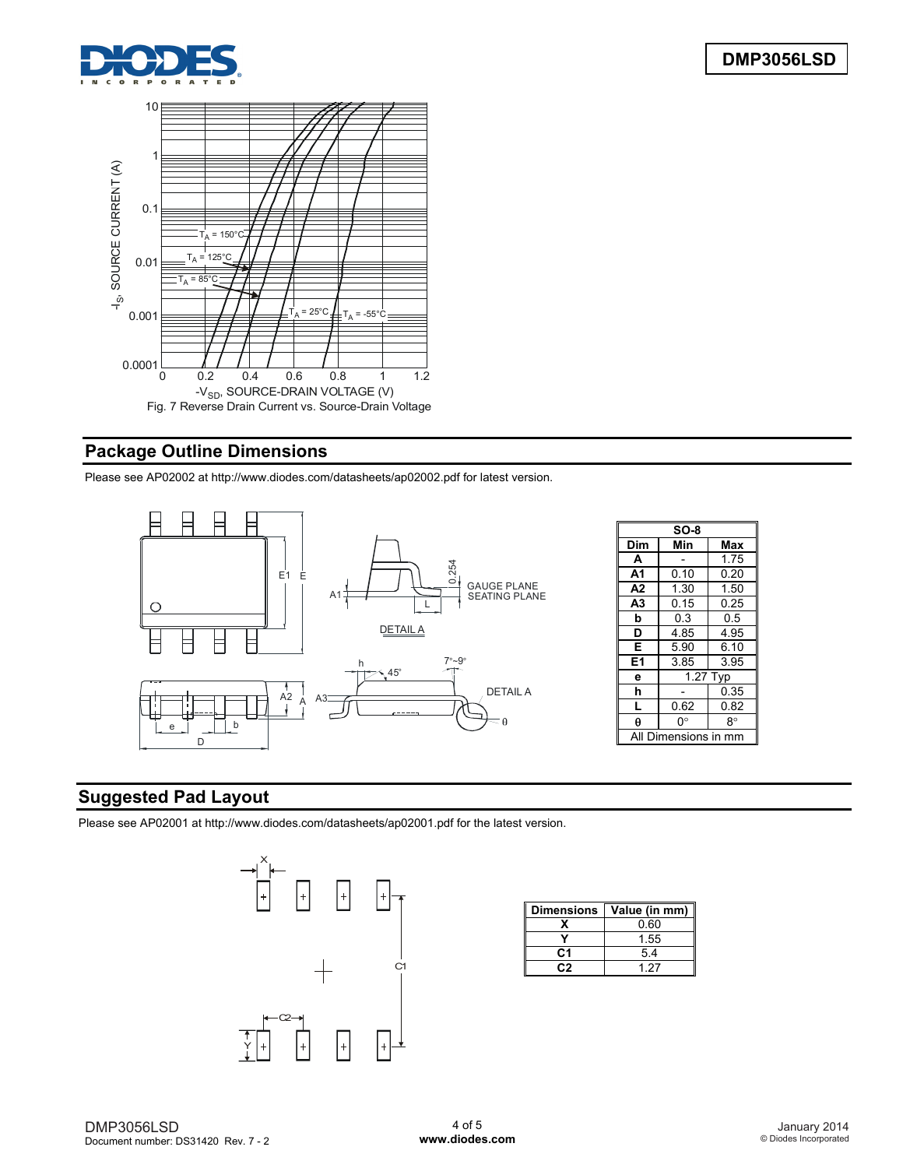



# **Package Outline Dimensions**

Please see AP02002 at [http://www.diodes.com/datasheets/ap02002.pdf fo](http://www.diodes.com/datasheets/ap02002.pdf)r latest version.



| $SO-8$         |          |      |  |  |
|----------------|----------|------|--|--|
| Dim            | Min      | Max  |  |  |
| A              |          | 1.75 |  |  |
| A <sub>1</sub> | 0.10     | 0.20 |  |  |
| A2             | 1.30     | 1.50 |  |  |
| A3             | 0.15     | 0.25 |  |  |
| b              | 0.3      | 0.5  |  |  |
| D              | 4.85     | 4.95 |  |  |
| Е              | 5.90     | 6.10 |  |  |
| E <sub>1</sub> | 3.85     | 3.95 |  |  |
| е              | 1.27 Typ |      |  |  |
| h              |          | 0.35 |  |  |
| L              | 0.62     | 0.82 |  |  |
| θ              | 0°       | 8°   |  |  |
| mensions       |          |      |  |  |

# **Suggested Pad Layout**

Please see AP02001 at [http://www.diodes.com/datasheets/ap02001.pdf fo](http://www.diodes.com/datasheets/ap02001.pdf)r the latest version.



| <b>Dimensions</b> | Value (in mm) |
|-------------------|---------------|
|                   | 0.60          |
|                   | 1.55          |
| C.1               | 54            |
|                   | 127           |